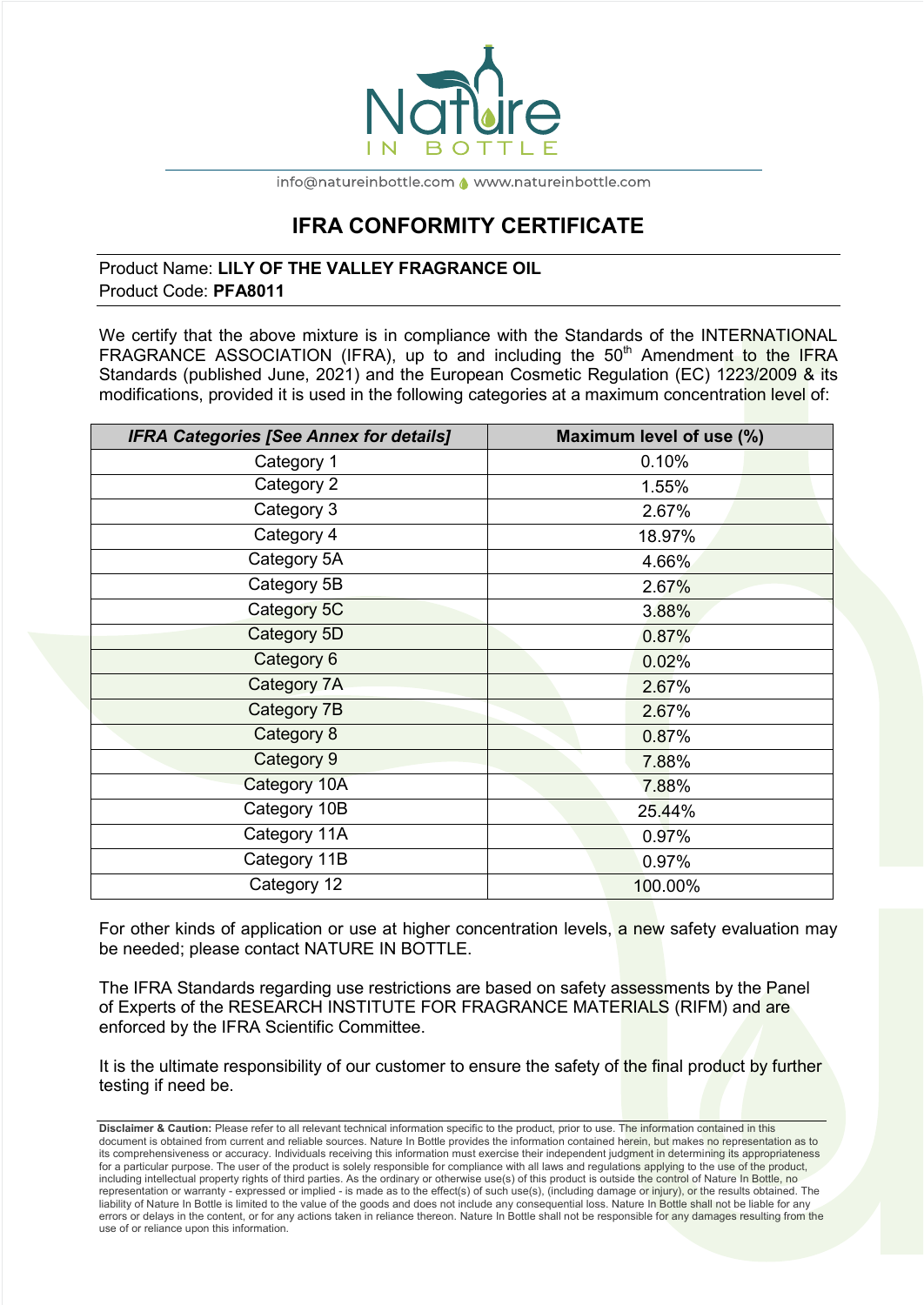

info@natureinbottle.com <a>
</a>
www.natureinbottle.com</a>

# **IFRA CONFORMITY CERTIFICATE**

## Product Name: **LILY OF THE VALLEY FRAGRANCE OIL**  Product Code: **PFA8011**

We certify that the above mixture is in compliance with the Standards of the INTERNATIONAL FRAGRANCE ASSOCIATION (IFRA), up to and including the  $50<sup>th</sup>$  Amendment to the IFRA Standards (published June, 2021) and the European Cosmetic Regulation (EC) 1223/2009 & its modifications, provided it is used in the following categories at a maximum concentration level of:

| <b>IFRA Categories [See Annex for details]</b> | Maximum level of use (%) |
|------------------------------------------------|--------------------------|
| Category 1                                     | 0.10%                    |
| Category 2                                     | 1.55%                    |
| Category 3                                     | 2.67%                    |
| Category 4                                     | 18.97%                   |
| Category 5A                                    | 4.66%                    |
| Category 5B                                    | 2.67%                    |
| Category 5C                                    | 3.88%                    |
| Category 5D                                    | 0.87%                    |
| Category 6                                     | 0.02%                    |
| Category 7A                                    | 2.67%                    |
| Category 7B                                    | 2.67%                    |
| Category 8                                     | 0.87%                    |
| Category 9                                     | 7.88%                    |
| Category 10A                                   | 7.88%                    |
| Category 10B                                   | 25.44%                   |
| Category 11A                                   | 0.97%                    |
| Category 11B                                   | 0.97%                    |
| Category 12                                    | 100.00%                  |

For other kinds of application or use at higher concentration levels, a new safety evaluation may be needed; please contact NATURE IN BOTTLE.

The IFRA Standards regarding use restrictions are based on safety assessments by the Panel of Experts of the RESEARCH INSTITUTE FOR FRAGRANCE MATERIALS (RIFM) and are enforced by the IFRA Scientific Committee.

It is the ultimate responsibility of our customer to ensure the safety of the final product by further testing if need be.

**Disclaimer & Caution:** Please refer to all relevant technical information specific to the product, prior to use. The information contained in this document is obtained from current and reliable sources. Nature In Bottle provides the information contained herein, but makes no representation as to its comprehensiveness or accuracy. Individuals receiving this information must exercise their independent judgment in determining its appropriateness for a particular purpose. The user of the product is solely responsible for compliance with all laws and requiations applying to the use of the product, including intellectual property rights of third parties. As the ordinary or otherwise use(s) of this product is outside the control of Nature In Bottle, no representation or warranty - expressed or implied - is made as to the effect(s) of such use(s), (including damage or injury), or the results obtained. The liability of Nature In Bottle is limited to the value of the goods and does not include any consequential loss. Nature In Bottle shall not be liable for any errors or delays in the content, or for any actions taken in reliance thereon. Nature In Bottle shall not be responsible for any damages resulting from the use of or reliance upon this information.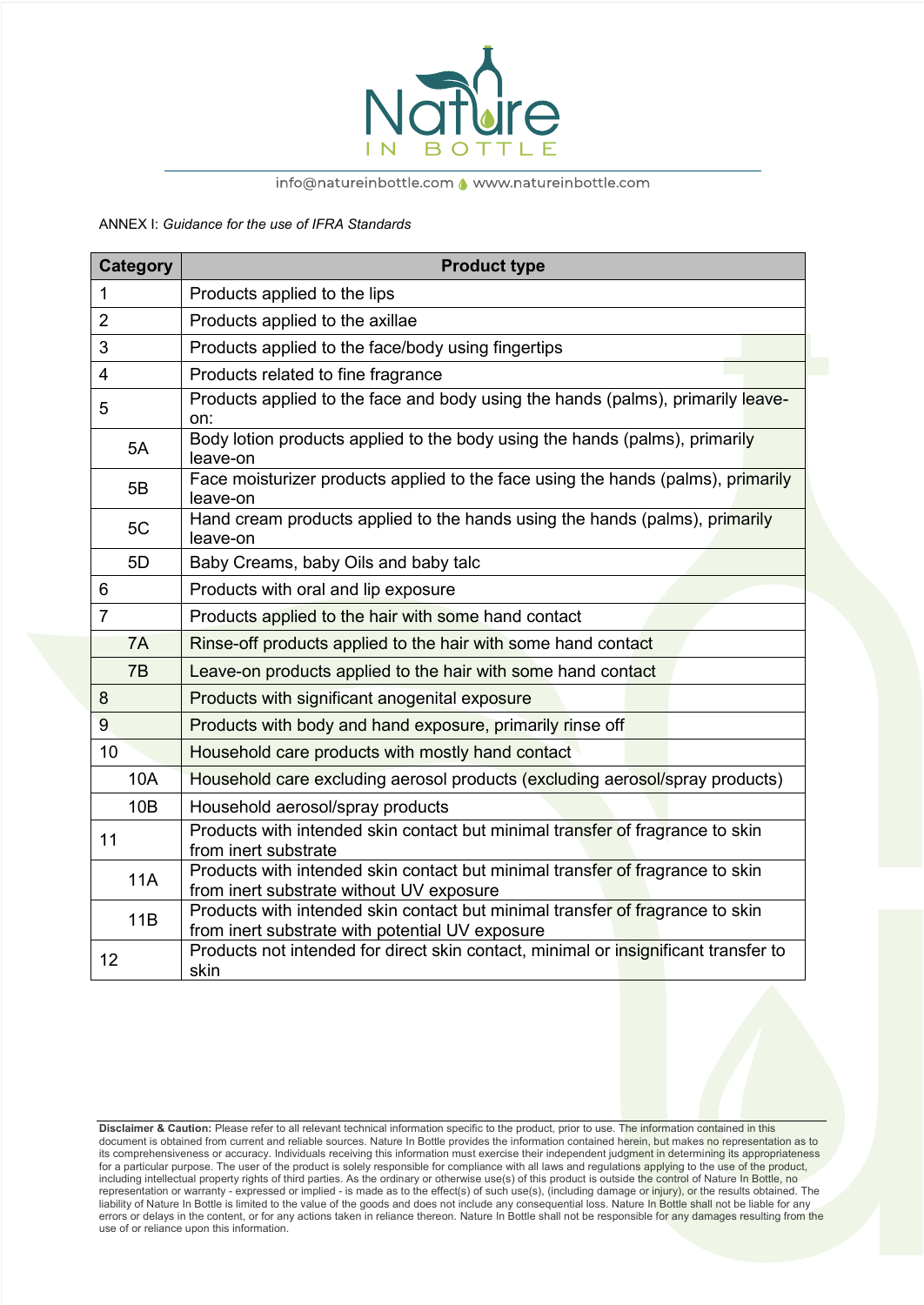

### info@natureinbottle.com <a>
www.natureinbottle.com</a>

ANNEX I: *Guidance for the use of IFRA Standards*

|                 | <b>Category</b> | <b>Product type</b>                                                                                                              |
|-----------------|-----------------|----------------------------------------------------------------------------------------------------------------------------------|
| $\mathbf{1}$    |                 | Products applied to the lips                                                                                                     |
| $\overline{2}$  |                 | Products applied to the axillae                                                                                                  |
| 3               |                 | Products applied to the face/body using fingertips                                                                               |
| 4               |                 | Products related to fine fragrance                                                                                               |
| 5               |                 | Products applied to the face and body using the hands (palms), primarily leave-<br>on:                                           |
|                 | 5A              | Body lotion products applied to the body using the hands (palms), primarily<br>leave-on                                          |
|                 | 5B              | Face moisturizer products applied to the face using the hands (palms), primarily<br>leave-on                                     |
|                 | 5C              | Hand cream products applied to the hands using the hands (palms), primarily<br>leave-on                                          |
|                 | 5D              | Baby Creams, baby Oils and baby talc                                                                                             |
| 6               |                 | Products with oral and lip exposure                                                                                              |
| $\overline{7}$  |                 | Products applied to the hair with some hand contact                                                                              |
|                 | 7A              | Rinse-off products applied to the hair with some hand contact                                                                    |
|                 | 7B              | Leave-on products applied to the hair with some hand contact                                                                     |
| 8               |                 | Products with significant anogenital exposure                                                                                    |
| 9               |                 | Products with body and hand exposure, primarily rinse off                                                                        |
| 10              |                 | Household care products with mostly hand contact                                                                                 |
|                 | 10A             | Household care excluding aerosol products (excluding aerosol/spray products)                                                     |
|                 | 10B             | Household aerosol/spray products                                                                                                 |
| 11              |                 | Products with intended skin contact but minimal transfer of fragrance to skin<br>from inert substrate                            |
|                 | <b>11A</b>      | Products with intended skin contact but minimal transfer of fragrance to skin<br>from inert substrate without UV exposure        |
|                 | 11B             | Products with intended skin contact but minimal transfer of fragrance to skin<br>from inert substrate with potential UV exposure |
| 12 <sup>2</sup> |                 | Products not intended for direct skin contact, minimal or insignificant transfer to<br>skin                                      |

**Disclaimer & Caution:** Please refer to all relevant technical information specific to the product, prior to use. The information contained in this document is obtained from current and reliable sources. Nature In Bottle provides the information contained herein, but makes no representation as to its comprehensiveness or accuracy. Individuals receiving this information must exercise their independent judgment in determining its appropriateness for a particular purpose. The user of the product is solely responsible for compliance with all laws and regulations applying to the use of the product, including intellectual property rights of third parties. As the ordinary or otherwise use(s) of this product is outside the control of Nature In Bottle, no representation or warranty - expressed or implied - is made as to the effect(s) of such use(s), (including damage or injury), or the results obtained. The liability of Nature In Bottle is limited to the value of the goods and does not include any consequential loss. Nature I<mark>n Bottle shall n</mark>ot be liable for any errors or delays in the content, or for any actions taken in reliance thereon. Nature In Bottle shall not be responsible for any damages resulting from the use of or reliance upon this information.